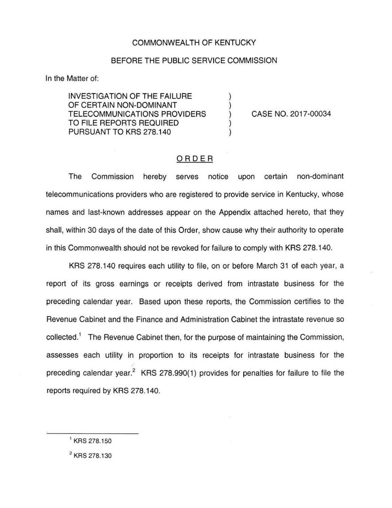## COMMONWEALTH OF KENTUCKY

#### BEFORE THE PUBLIC SERVICE COMMISSION

) ) ) ) )

In the Matter of:

INVESTIGATION OF THE FAILURE OF CERTAIN NON-DOMINANT TELECOMMUNICATIONS PROVIDERS TO FILE REPORTS REQUIRED PURSUANT TO KRS 278.140

CASE NO. 2017-00034

## ORDER

The Commission hereby serves notice upon certain non-dominant telecommunications providers who are registered to provide service in Kentucky, whose names and last-known addresses appear on the Appendix attached hereto, that they shall, within 30 days of the date of this Order, show cause why their authority to operate in this Commonwealth should not be revoked for failure to comply with KRS 278.140.

KRS 278.140 requires each utility to file, on or before March 31 of each year, a report of its gross earnings or receipts derived from intrastate business for the preceding calendar year. Based upon these reports, the Commission certifies to the Revenue Cabinet and the Finance and Administration Cabinet the intrastate revenue so collected.<sup>1</sup> The Revenue Cabinet then, for the purpose of maintaining the Commission, assesses each utility in proportion to its receipts for intrastate business for the preceding calendar year.<sup>2</sup> KRS 278.990(1) provides for penalties for failure to file the reports required by KRS 278.140.

2 KRS 278.130

<sup>&</sup>lt;sup>1</sup> KRS 278.150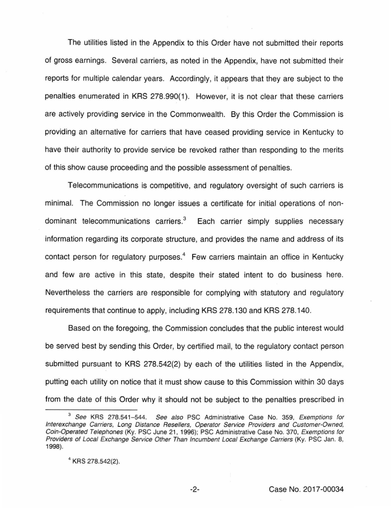The utilities listed in the Appendix to this Order have not submitted their reports of gross earnings. Several carriers, as noted in the Appendix, have not submitted their reports for multiple calendar years. Accordingly, it appears that they are subject to the penalties enumerated in KRS 278.990(1 ). However, it is not clear that these carriers are actively providing service in the Commonwealth. By this Order the Commission is providing an alternative for carriers that have ceased providing service in Kentucky to have their authority to provide service be revoked rather than responding to the merits of this show cause proceeding and the possible assessment of penalties.

Telecommunications is competitive, and regulatory oversight of such carriers is minimal. The Commission no longer issues a certificate for initial operations of nondominant telecommunications carriers. $3$  Each carrier simply supplies necessary information regarding its corporate structure, and provides the name and address of its contact person for regulatory purposes.<sup>4</sup> Few carriers maintain an office in Kentucky and few are active in this state, despite their stated intent to do business here. Nevertheless the carriers are responsible for complying with statutory and regulatory requirements that continue to apply, including KRS 278.130 and KRS 278.140.

Based on the foregoing, the Commission concludes that the public interest would be served best by sending this Order, by certified mail, to the regulatory contact person submitted pursuant to KRS 278.542(2) by each of the utilities listed in the Appendix, putting each utility on notice that it must show cause to this Commission within 30 days from the date of this Order why it should not be subject to the penalties prescribed in

<sup>&</sup>lt;sup>3</sup> See KRS 278.541-544. See also PSC Administrative Case No. 359, Exemptions for lnterexchange Carriers, Long Distance Resellers, Operator Service Providers and Customer-Owned, Coin-Operated Telephones (Ky. PSC June 21 , 1996); PSC Administrative Case No. 370, Exemptions for Providers of Local Exchange Service Other Than Incumbent Local Exchange Carriers (Ky. PSC Jan. 8, 1998).

<sup>4</sup>KRS 278.542(2).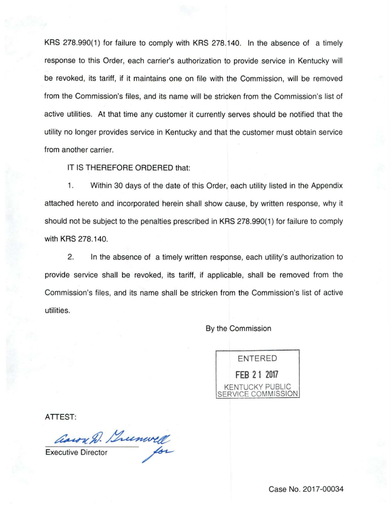KRS 278.990(1) for failure to comply with KRS 278.140. In the absence of a timely response to this Order, each carrier's authorization to provide service in Kentucky will be revoked, its tariff, if it maintains one on file with the Commission, will be removed from the Commission's files, and its name will be stricken from the Commission's list of active utilities. At that time any customer it currently serves should be notified that the utility no longer provides service in Kentucky and that the customer must obtain service from another carrier.

IT IS THEREFORE ORDERED that:

1. Within 30 days of the date of this Order, each utility listed in the Appendix attached hereto and incorporated herein shall show cause, by written response, why it should not be subject to the penalties prescribed in KRS 278.990(1) for failure to comply with KRS 278.140.

2. In the absence of a timely written response, each utility's authorization to provide service shall be revoked, its tariff, if applicable, shall be removed from the Commission's files, and its name shall be stricken from the Commission's list of active utilities.

By the Commission

ENTERED **FEB 21 2017**  KENTUCKY PUBLIC COMMISSION

ATTEST:

aaron D. Bunwell Cason D. Lunwell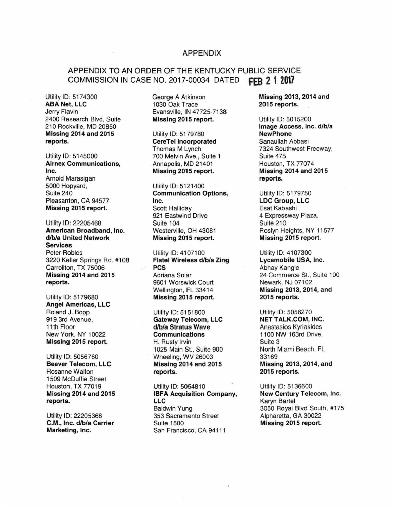#### APPENDIX

# APPENDIX TO AN ORDER OF THE KENTUCKY PUBLIC SERVICE COMMISSION IN CASE NO. 2017-00034 DATED **fEB 2 1 2017**

Utility ID: 5174300 George A Atkinson Missing 2013, 2014 and<br>
ABA Net, LLC 1030 Oak Trace 2015 reports. ABA Net, LLC 1030 Oak Trace 2015 reports. 2400 Research Blvd, Suite Missing 2015 report. Utility ID: 5015200<br>210 Rockville, MD 20850 Missing 2014 and 2015 Utility ID: 5179780 reports. CereTellncorporated Sanaullah Abbasi

Utility ID: 5145000 700 Melvin Ave., Suite 1 Suite 475<br> **Airnex Communications,** Annapolis, MD 21401 Houston, TX 77074 Airnex Communications, Annapolis, MD 21401<br>Inc. Missing 2015 report. Inc. Missing 2015 report. Missing 2014 and 2015 Arnold Marasigan **reports.**<br>5000 Hopvard. **and State Control Control Control Control Control Control Control Control Control Control Control Control Control Control Control Control Control Control Control Control Control C** Missing 2015 report. Scott Halliday

Utility ID: 22205468 Suite 104 Suite 210 American Broadband, Inc. Westerville, OH 43081 Roslyn Heights, NY 11577<br>d/b/a United Network Missing 2015 report. Missing 2015 report. Services Peter Robles Utility ID: 4107100 Utility ID: 4107300 3220 Keller Springs Rd. #108 Flatel Wireless d/b/a Zing Lycamobile U<br>Carrollton. TX 75006 PCS PCS Abhay Kangle Carrollton, TX 75006 PCS Missing 2014 and 2015 Adriana Solar 24 Commerce St., Suite 100

Angel Americas, LLC Roland J. Bopp Utility ID: 5151800 Utility ID: 5056270<br>
919 3rd Avenue, **Gateway Telecom, LLC NET TALK.COM, INC.** 

1509 McDuffie Street

Evansville, IN 47725-7138

Utility ID: 5121400 Suite 240 **Communication Options, Cultility ID: 5179750**<br>Pleasanton. CA 94577 **No. 1998** Inc. Communication Options, Lucation Control Communication Options, Lucation C Pleasanton, CA 94577 **Inc. Inc. LDC Group, Instant CA 94577 Inc. CA 2015 report.** Scott Halliday **CA 2015 report.** Scott Halliday **CA 2015** report. 921 Eastwind Drive 4 Expressway Plaza,

reports. 9601 Worswick Court Newark, NJ 07f02 Utility ID: 5179680 **Missing 2015 report.** 2015 reports.

919 3rd Avenue, Gateway Telecom, LLC 11th Floor d/b/a Stratus Wave Anastasios Kyriakides<br>
New York, NY 10022 **Communications** 1100 NW 163rd Drive, **Missing 2015 report.** H. Rusty Irvin **Nissing 2015 report.** Suite 3 1025 Main St., Suite 900 North Miami Beach, FL Utility ID: 5056760 Wheeling, WV 26003 33169 Beaver Telecom, LLC Missing 2014 and 2015 Missing 2013,2014, and Rosanne Walton **Rosanne Walton reports. 2015 reports.** 

Houston, TX 77019 Utility ID: 5054810 Utility ID: 5136600<br> **Missing 2014 and 2015 IBFA Acquisition Company, Mew Century Telecom, Inc. IBFA Acquisition Company, reports. LLC Example 2018 LLC Reports. Karyn Bartel** Utility ID: 22205368 353 Sacramento Street Alpharetta, GA 30022 C.M., Inc. d/b/a Carrier Suite 1500 Missing 2015 report. Marketing, Inc. **San Francisco, CA 94111** 

Image Access, Inc. d/b/a<br>NewPhone Thomas M Lynch 7324 Southwest Freeway,

Missing 2015 report.

Missing 2013, 2014, and

1100 NW 163rd Drive,

Baldwin Yung **3050 Royal Blvd South, #175**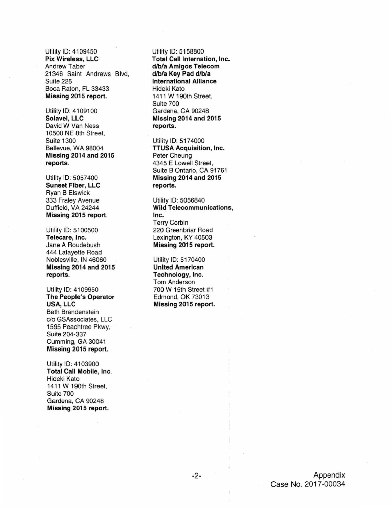Utility ID: 4109450 Pix Wireless, LLC Andrew Taber 21346 Saint Andrews Blvd, Suite 225 Boca Raton, FL 33433 Missing 2015 report.

Utility ID: 4109100 Solavei, LLC David W Van Ness 10500 NE 8th Street, Suite 1300 Bellevue, WA 98004 Missing 2014 and 2015 reports.

Utility ID: 5057400 Sunset Fiber, LLC Ryan B Elswick 333 Fraley Avenue Duffield, VA 24244 Missing 2015 report.

Utility ID: 5100500 Telecare, Inc. Jane A Roudebush 444 Lafayette Road Noblesville, IN 46060 Missing 2014 and 2015 reports.

Utility ID: 4109950 The People's Operator USA, LLC Beth Brandenstein c/o GSAssociates, LLC 1595 Peachtree Pkwy, Suite 204-337 Cumming, GA 30041 Missing 2015 report.

Utility ID: 4103900 Total Call Mobile, Inc. Hideki Kato 1411 W 190th Street, Suite 700 Gardena, CA 90248 Missing 2015 report.

Utility ID: 5158800 **Total Call Internation, Inc.** d/b/a Amigos Telecom d/b/a Key Pad d/b/a International Alliance Hideki Kato 1411 W 190th Street, Suite 700 Gardena, CA 90248 Missing 2014 and 2015 reports.

Utility ID: 5174000 TTUSA Acquisition, Inc. Peter Cheung 4345 E Lowell Street, Suite B Ontario, CA 91761 Missing 2014 and 2015 reports.

Utility ID: 5056840 Wild Telecommunications, Inc. Terry Corbin 220 Greenbriar Road Lexington, KY 40503 Missing 2015 report.

Utility ID: 5170400 United American Technology, Inc. Tom Anderson 700 W 15th Street #1 Edmond, OK 73013 Missing 2015 report.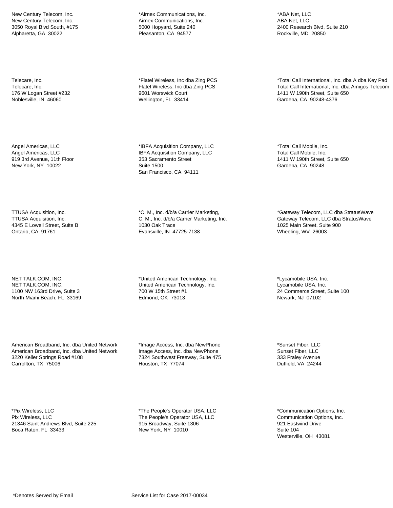New Century Telecom, Inc. New Century Telecom, Inc. 3050 Royal Blvd South, #175 Alpharetta, GA 30022

Telecare, Inc. Telecare, Inc. 176 W Logan Street #232 Noblesville, IN 46060

Angel Americas, LLC Angel Americas, LLC 919 3rd Avenue, 11th Floor New York, NY 10022

TTUSA Acquisition, Inc. TTUSA Acquisition, Inc. 4345 E Lowell Street, Suite B Ontario, CA 91761

NET TALK.COM, INC. NET TALK.COM, INC. 1100 NW 163rd Drive, Suite 3 North Miami Beach, FL 33169

American Broadband, Inc. dba United Network American Broadband, Inc. dba United Network 3220 Keller Springs Road #108 Carrollton, TX 75006

\*Pix Wireless, LLC Pix Wireless, LLC 21346 Saint Andrews Blvd, Suite 225 Boca Raton, FL 33433

\*Airnex Communications, Inc. Airnex Communications, Inc. 5000 Hopyard, Suite 240 Pleasanton, CA 94577

\*Flatel Wireless, Inc dba Zing PCS Flatel Wireless, Inc dba Zing PCS 9601 Worswick Court Wellington, FL 33414

\*IBFA Acquisition Company, LLC IBFA Acquisition Company, LLC 353 Sacramento Street Suite 1500 San Francisco, CA 94111

\*C. M., Inc. d/b/a Carrier Marketing, C. M., Inc. d/b/a Carrier Marketing, Inc. 1030 Oak Trace Evansville, IN 47725-7138

\*United American Technology, Inc. United American Technology, Inc. 700 W 15th Street #1 Edmond, OK 73013

\*Image Access, Inc. dba NewPhone Image Access, Inc. dba NewPhone 7324 Southwest Freeway, Suite 475 Houston, TX 77074

\*The People's Operator USA, LLC The People's Operator USA, LLC 915 Broadway, Suite 1306 New York, NY 10010

\*ABA Net, LLC ABA Net, LLC 2400 Research Blvd, Suite 210 Rockville, MD 20850

\*Total Call International, Inc. dba A dba Key Pad Total Call International, Inc. dba Amigos Telecom 1411 W 190th Street, Suite 650 Gardena, CA 90248-4376

\*Total Call Mobile, Inc. Total Call Mobile, Inc. 1411 W 190th Street, Suite 650 Gardena, CA 90248

\*Gateway Telecom, LLC dba StratusWave Gateway Telecom, LLC dba StratusWave 1025 Main Street, Suite 900 Wheeling, WV 26003

\*Lycamobile USA, Inc. Lycamobile USA, Inc. 24 Commerce Street, Suite 100 Newark, NJ 07102

\*Sunset Fiber, LLC Sunset Fiber, LLC 333 Fraley Avenue Duffield, VA 24244

\*Communication Options, Inc. Communication Options, Inc. 921 Eastwind Drive Suite 104 Westerville, OH 43081